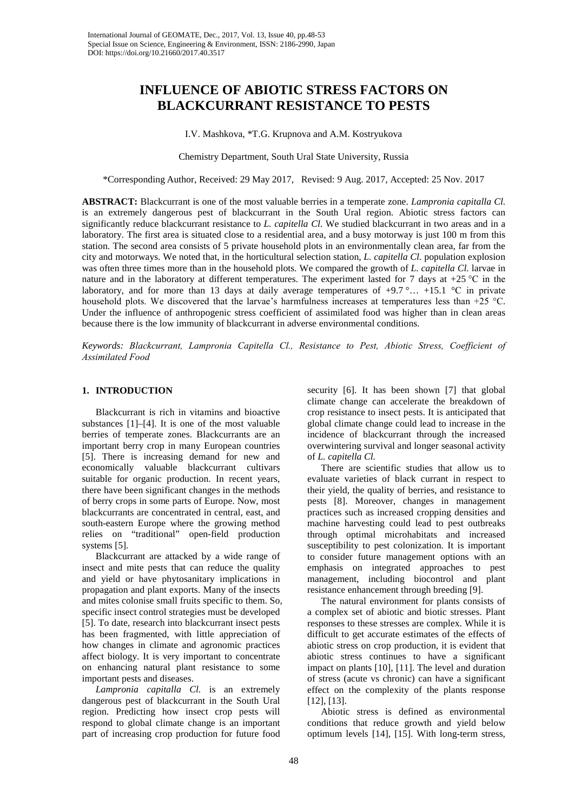# **INFLUENCE OF ABIOTIC STRESS FACTORS ON BLACKCURRANT RESISTANCE TO PESTS**

I.V. Mashkova, \*T.G. Krupnova and A.M. Kostryukova

Chemistry Department, South Ural State University, Russia

\*Corresponding Author, Received: 29 May 2017, Revised: 9 Aug. 2017, Accepted: 25 Nov. 2017

**ABSTRACT:** Blackcurrant is one of the most valuable berries in a temperate zone. *Lampronia capitalla Cl.* is an extremely dangerous pest of blackcurrant in the South Ural region. Abiotic stress factors can significantly reduce blackcurrant resistance to *L. capitella Cl*. We studied blackcurrant in two areas and in a laboratory. The first area is situated close to a residential area, and a busy motorway is just 100 m from this station. The second area consists of 5 private household plots in an environmentally clean area, far from the city and motorways. We noted that, in the horticultural selection station, *L. capitella Cl.* population explosion was often three times more than in the household plots. We compared the growth of *L. capitella Cl.* larvae in nature and in the laboratory at different temperatures. The experiment lasted for 7 days at +25 °С in the laboratory, and for more than 13 days at daily average temperatures of  $+9.7$ °…  $+15.1$  °C in private household plots. We discovered that the larvae's harmfulness increases at temperatures less than +25 °С. Under the influence of anthropogenic stress coefficient of assimilated food was higher than in clean areas because there is the low immunity of blackcurrant in adverse environmental conditions.

*Keywords: Blackcurrant, Lampronia Сapitella Cl., Resistance to Рest, Abiotic Stress, Coefficient of Аssimilated Food*

## **1. INTRODUCTION**

Blackcurrant is rich in vitamins and bioactive substances [1]–[4]. It is one of the most valuable berries of temperate zones. Blackcurrants are an important berry crop in many European countries [5]. There is increasing demand for new and economically valuable blackcurrant cultivars suitable for organic production. In recent years, there have been significant changes in the methods of berry crops in some parts of Europe. Now, most blackcurrants are concentrated in central, east, and south-eastern Europe where the growing method relies on "traditional" open-field production systems [5].

Blackcurrant are attacked by a wide range of insect and mite pests that can reduce the quality and yield or have phytosanitary implications in propagation and plant exports. Many of the insects and mites colonise small fruits specific to them. So, specific insect control strategies must be developed [5]. To date, research into blackcurrant insect pests has been fragmented, with little appreciation of how changes in climate and agronomic practices affect biology. It is very important to concentrate on enhancing natural plant resistance to some important pests and diseases.

*Lampronia capitalla Cl.* is an extremely dangerous pest of blackcurrant in the South Ural region. Predicting how insect crop pests will respond to global climate change is an important part of increasing crop production for future food

security [6]. It has been shown [7] that global climate change can accelerate the breakdown of crop resistance to insect pests. It is anticipated that global climate change could lead to increase in the incidence of blackcurrant through the increased overwintering survival and longer seasonal activity of *L. capitella Cl.*

There are scientific studies that allow us to evaluate varieties of black currant in respect to their yield, the quality of berries, and resistance to pests [8]. Moreover, changes in management practices such as increased cropping densities and machine harvesting could lead to pest outbreaks through optimal microhabitats and increased susceptibility to pest colonization. It is important to consider future management options with an emphasis on integrated approaches to pest management, including biocontrol and plant resistance enhancement through breeding [9].

The natural environment for plants consists of a complex set of abiotic and biotic stresses. Plant responses to these stresses are complex. While it is difficult to get accurate estimates of the effects of abiotic stress on crop production, it is evident that abiotic stress continues to have a significant impact on plants [10], [11]. The level and duration of stress (acute vs chronic) can have a significant effect on the complexity of the plants response [12], [13].

Abiotic stress is defined as environmental conditions that reduce growth and yield below optimum levels [14], [15]. With long-term stress,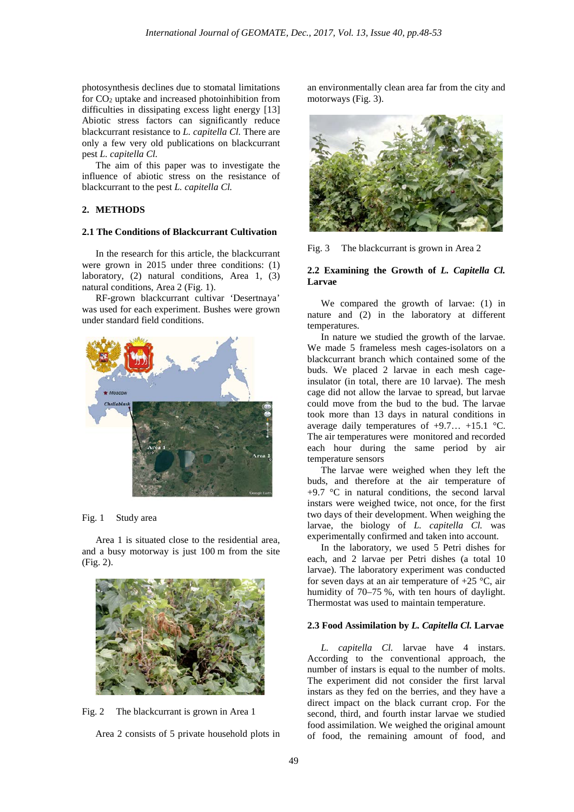photosynthesis declines due to stomatal limitations for CO2 uptake and increased photoinhibition from difficulties in dissipating excess light energy [13] Abiotic stress factors can significantly reduce blackcurrant resistance to *L. capitella Cl.* There are only a few very old publications on blackcurrant pest *L. capitella Cl.*

The aim of this paper was to investigate the influence of abiotic stress on the resistance of blackcurrant to the pest *L. capitella Cl.*

#### **2. METHODS**

#### **2.1 The Conditions of Blackcurrant Cultivation**

In the research for this article, the blackcurrant were grown in 2015 under three conditions: (1) laboratory, (2) natural conditions, Area 1, (3) natural conditions, Area 2 (Fig. 1).

RF-grown blackcurrant cultivar 'Desertnaya' was used for each experiment. Bushes were grown under standard field conditions.



#### Fig. 1 Study area

Area 1 is situated close to the residential area, and a busy motorway is just 100 m from the site (Fig. 2).





an environmentally clean area far from the city and motorways (Fig. 3).



Fig. 3 The blackcurrant is grown in Area 2

### **2.2 Examining the Growth of** *L. Capitella Cl.* **Larvae**

We compared the growth of larvae: (1) in nature and (2) in the laboratory at different temperatures.

In nature we studied the growth of the larvae. We made 5 frameless mesh cages-isolators on a blackcurrant branch which contained some of the buds. We placed 2 larvae in each mesh cageinsulator (in total, there are 10 larvae). The mesh cage did not allow the larvae to spread, but larvae could move from the bud to the bud. The larvae took more than 13 days in natural conditions in average daily temperatures of +9.7… +15.1 °C. The air temperatures were monitored and recorded each hour during the same period by air temperature sensors

The larvae were weighed when they left the buds, and therefore at the air temperature of  $+9.7$  °C in natural conditions, the second larval instars were weighed twice, not once, for the first two days of their development. When weighing the larvae, the biology of *L. capitella Cl.* was experimentally confirmed and taken into account.

In the laboratory, we used 5 Petri dishes for each, and 2 larvae per Petri dishes (a total 10 larvae). The laboratory experiment was conducted for seven days at an air temperature of  $+25$  °C, air humidity of 70–75 %, with ten hours of daylight. Thermostat was used to maintain temperature.

#### **2.3 Food Assimilation by** *L. Capitella Cl.* **Larvae**

*L. capitella Cl.* larvae have 4 instars. According to the conventional approach, the number of instars is equal to the number of molts. The experiment did not consider the first larval instars as they fed on the berries, and they have a direct impact on the black currant crop. For the second, third, and fourth instar larvae we studied food assimilation. We weighed the original amount of food, the remaining amount of food, and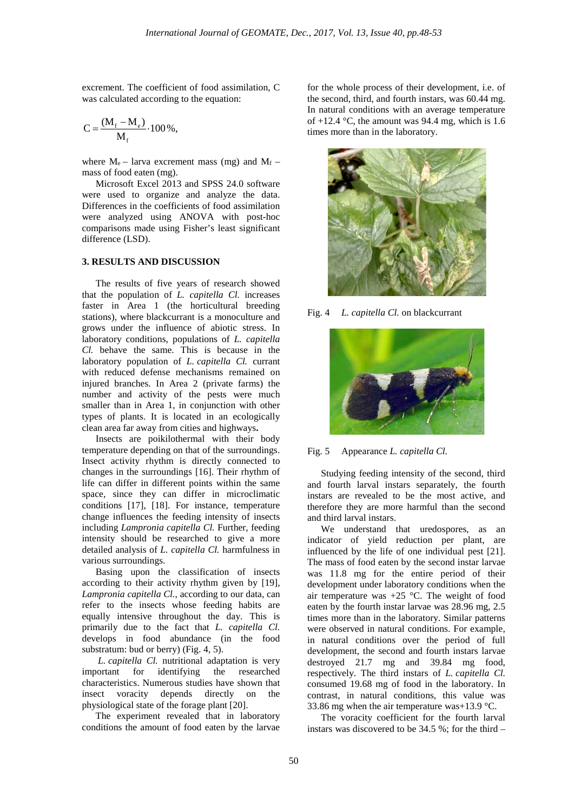excrement. The coefficient of food assimilation, C was calculated according to the equation:

$$
C = \frac{(M_f - M_e)}{M_f} \cdot 100\%,
$$

where  $M_e$  – larva excrement mass (mg) and  $M_f$  – mass of food eaten (mg).

Microsoft Excel 2013 and SPSS 24.0 software were used to organize and analyze the data. Differences in the coefficients of food assimilation were analyzed using ANOVA with post-hoc comparisons made using Fisher's least significant difference (LSD).

# **3. RESULTS AND DISCUSSION**

The results of five years of research showed that the population of *L. capitella Cl.* increases faster in Area 1 (the horticultural breeding stations), where blackcurrant is a monoculture and grows under the influence of abiotic stress. In laboratory conditions, populations of *L. capitella Cl.* behave the same. This is because in the laboratory population of *L. capitella Cl.* currant with reduced defense mechanisms remained on injured branches. In Area 2 (private farms) the number and activity of the pests were much smaller than in Area 1, in conjunction with other types of plants. It is located in an ecologically clean area far away from cities and highways**.**

Insects are poikilothermal with their body temperature depending on that of the surroundings. Insect activity rhythm is directly connected to changes in the surroundings [16]. Their rhythm of life can differ in different points within the same space, since they can differ in microclimatic conditions [17], [18]. For instance, temperature change influences the feeding intensity of insects including *Lampronia capitella Cl.* Further, feeding intensity should be researched to give a more detailed analysis of *L. capitella Cl.* harmfulness in various surroundings.

Basing upon the classification of insects according to their activity rhythm given by [19], *Lampronia capitella Cl.*, according to our data, can refer to the insects whose feeding habits are equally intensive throughout the day. This is primarily due to the fact that *L. capitella Cl.* develops in food abundance (in the food substratum: bud or berry) (Fig. 4, 5).

*L. capitella Cl.* nutritional adaptation is very important for identifying the researched characteristics. Numerous studies have shown that insect voracity depends directly on the physiological state of the forage plant [20].

The experiment revealed that in laboratory conditions the amount of food eaten by the larvae for the whole process of their development, i.e. of the second, third, and fourth instars, was 60.44 mg. In natural conditions with an average temperature of  $+12.4$  °C, the amount was 94.4 mg, which is 1.6 times more than in the laboratory.



Fig. 4 *L. capitella Cl.* on blackcurrant



Fig. 5 Appearance *L. capitella Cl.*

Studying feeding intensity of the second, third and fourth larval instars separately, the fourth instars are revealed to be the most active, and therefore they are more harmful than the second and third larval instars.

We understand that uredospores, as an indicator of yield reduction per plant, are influenced by the life of one individual pest [21]. The mass of food eaten by the second instar larvae was 11.8 mg for the entire period of their development under laboratory conditions when the air temperature was +25 °C. The weight of food eaten by the fourth instar larvae was 28.96 mg, 2.5 times more than in the laboratory. Similar patterns were observed in natural conditions. For example, in natural conditions over the period of full development, the second and fourth instars larvae destroyed 21.7 mg and 39.84 mg food, respectively. The third instars of *L. capitella Cl.* consumed 19.68 mg of food in the laboratory. In contrast, in natural conditions, this value was 33.86 mg when the air temperature was+13.9 °C.

The voracity coefficient for the fourth larval instars was discovered to be 34.5 %; for the third –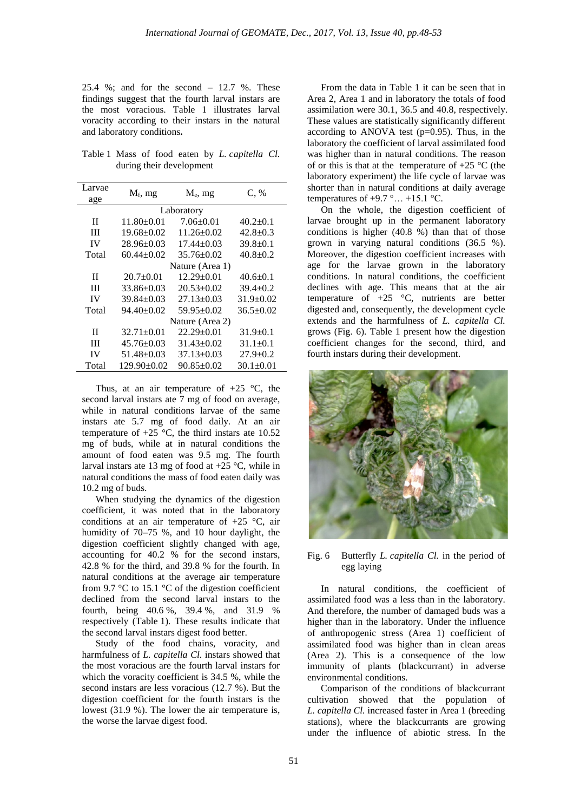25.4 %; and for the second – 12.7 %. These findings suggest that the fourth larval instars are the most voracious. Table 1 illustrates larval voracity according to their instars in the natural and laboratory conditions**.**

Table 1 Mass of food eaten by *L. capitella Cl.* during their development

| Larvae     | $M_f$ , mg        | $M_e$ , mg       | C, %            |
|------------|-------------------|------------------|-----------------|
| age        |                   |                  |                 |
| Laboratory |                   |                  |                 |
| H          | $11.80 \pm 0.01$  | $7.06 \pm 0.01$  | $40.2 \pm 0.1$  |
| Ш          | $19.68 \pm 0.02$  | $11.26 \pm 0.02$ | $42.8 \pm 0.3$  |
| IV         | $28.96 \pm 0.03$  | $17.44 \pm 0.03$ | $39.8 \pm 0.1$  |
| Total      | $60.44 + 0.02$    | $35.76 \pm 0.02$ | $40.8 \pm 0.2$  |
|            | Nature (Area 1)   |                  |                 |
| П          | $20.7 \pm 0.01$   | $12.29 \pm 0.01$ | $40.6 \pm 0.1$  |
| Ш          | $33.86 \pm 0.03$  | $20.53 \pm 0.02$ | $39.4 \pm 0.2$  |
| IV         | $39.84 \pm 0.03$  | $27.13 \pm 0.03$ | $31.9 \pm 0.02$ |
| Total      | $94.40 \pm 0.02$  | $59.95 \pm 0.02$ | $36.5 \pm 0.02$ |
|            | Nature (Area 2)   |                  |                 |
| П          | $32.71 \pm 0.01$  | $22.29 \pm 0.01$ | $31.9 \pm 0.1$  |
| Ш          | $45.76 \pm 0.03$  | $31.43 \pm 0.02$ | $31.1 \pm 0.1$  |
| IV         | $51.48 \pm 0.03$  | $37.13 \pm 0.03$ | $27.9 \pm 0.2$  |
| Total      | $129.90 \pm 0.02$ | $90.85 \pm 0.02$ | $30.1 \pm 0.01$ |

Thus, at an air temperature of  $+25$  °C, the second larval instars ate 7 mg of food on average, while in natural conditions larvae of the same instars ate 5.7 mg of food daily. At an air temperature of  $+25$  °C, the third instars ate 10.52 mg of buds, while at in natural conditions the amount of food eaten was 9.5 mg. The fourth larval instars ate 13 mg of food at +25 °C, while in natural conditions the mass of food eaten daily was 10.2 mg of buds.

When studying the dynamics of the digestion coefficient, it was noted that in the laboratory conditions at an air temperature of  $+25$  °C, air humidity of 70–75 %, and 10 hour daylight, the digestion coefficient slightly changed with age, accounting for 40.2 % for the second instars, 42.8 % for the third, and 39.8 % for the fourth. In natural conditions at the average air temperature from 9.7 °C to 15.1 °C of the digestion coefficient declined from the second larval instars to the fourth, being 40.6 %, 39.4 %, and 31.9 % respectively (Table 1). These results indicate that the second larval instars digest food better.

Study of the food chains, voracity, and harmfulness of *L. capitella Cl*. instars showed that the most voracious are the fourth larval instars for which the voracity coefficient is 34.5 %, while the second instars are less voracious (12.7 %). But the digestion coefficient for the fourth instars is the lowest (31.9 %). The lower the air temperature is, the worse the larvae digest food.

From the data in Table 1 it can be seen that in Area 2, Area 1 and in laboratory the totals of food assimilation were 30.1, 36.5 and 40.8, respectively. These values are statistically significantly different according to ANOVA test (p=0.95). Thus, in the laboratory the coefficient of larval assimilated food was higher than in natural conditions. The reason of or this is that at the temperature of  $+25$  °C (the laboratory experiment) the life cycle of larvae was shorter than in natural conditions at daily average temperatures of  $+9.7$  °…  $+15.1$  °C.

On the whole, the digestion coefficient of larvae brought up in the permanent laboratory conditions is higher (40.8 %) than that of those grown in varying natural conditions (36.5 %). Moreover, the digestion coefficient increases with age for the larvae grown in the laboratory conditions. In natural conditions, the coefficient declines with age. This means that at the air temperature of  $+25$  °C, nutrients are better digested and, consequently, the development cycle extends and the harmfulness of *L. capitella Cl.* grows (Fig. 6). Table 1 present how the digestion coefficient changes for the second, third, and fourth instars during their development.



Fig. 6 Butterfly *L. capitella Cl.* in the period of egg laying

In natural conditions, the coefficient of assimilated food was a less than in the laboratory. And therefore, the number of damaged buds was a higher than in the laboratory. Under the influence of anthropogenic stress (Area 1) coefficient of assimilated food was higher than in clean areas (Area 2). This is a consequence of the low immunity of plants (blackcurrant) in adverse environmental conditions.

Comparison of the conditions of blackcurrant cultivation showed that the population of *L. capitella Cl.* increased faster in Area 1 (breeding stations), where the blackcurrants are growing under the influence of abiotic stress. In the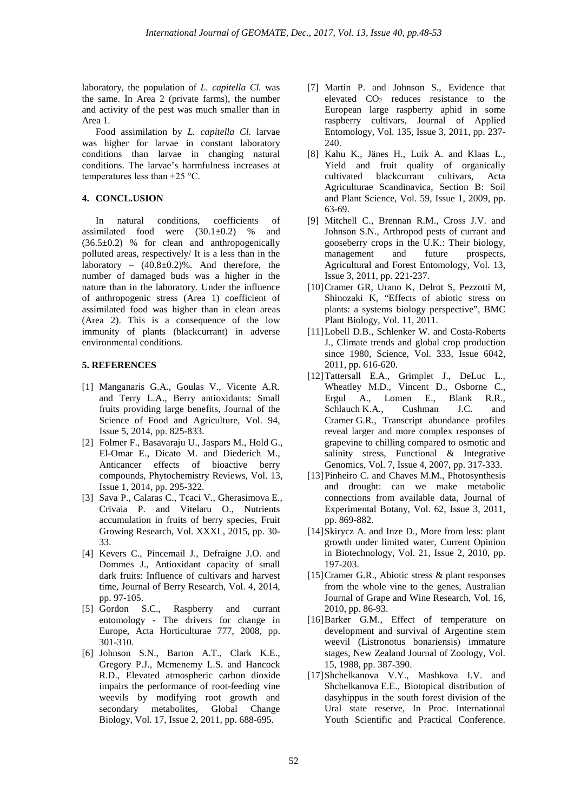laboratory, the population of *L. capitella Cl.* was the same. In Area 2 (private farms), the number and activity of the pest was much smaller than in Area 1.

Food assimilation by *L. capitella Cl.* larvae was higher for larvae in constant laboratory conditions than larvae in changing natural conditions. The larvae's harmfulness increases at temperatures less than +25 °С.

# **4. CONCL.USION**

In natural conditions, coefficients of assimilated food were  $(30.1\pm0.2)$  % and  $(36.5\pm0.2)$  % for clean and anthropogenically polluted areas, respectively/ It is a less than in the laboratory – (40.8±0.2)%. And therefore, the number of damaged buds was a higher in the nature than in the laboratory. Under the influence of anthropogenic stress (Area 1) coefficient of assimilated food was higher than in clean areas (Area 2). This is a consequence of the low immunity of plants (blackcurrant) in adverse environmental conditions.

# **5. REFERENCES**

- [1] [Manganaris G.A.](https://www.scopus.com/authid/detail.uri?origin=resultslist&authorId=10039892100&zone=), [Goulas V.,](https://www.scopus.com/authid/detail.uri?origin=resultslist&authorId=26654803600&zone=) [Vicente A.R.](https://www.scopus.com/authid/detail.uri?origin=resultslist&authorId=16417734100&zone=) and [Terry L.A.,](https://www.scopus.com/authid/detail.uri?origin=resultslist&authorId=7005462441&zone=) [Berry antioxidants: Small](https://www.scopus.com/record/display.uri?eid=2-s2.0-84900594683&origin=resultslist&sort=plf-f&src=s&st1=Currants%2C+and+gooseberries&st2=&sid=F62EE1675C846C6D5F4BF12C546FEA3B.wsnAw8kcdt7IPYLO0V48gA%3A40&sot=b&sdt=b&sl=41&s=TITLE-ABS-KEY(Currants%2C+and+gooseberries)&relpos=13&citeCnt=41&searchTerm=)  [fruits providing large benefits,](https://www.scopus.com/record/display.uri?eid=2-s2.0-84900594683&origin=resultslist&sort=plf-f&src=s&st1=Currants%2C+and+gooseberries&st2=&sid=F62EE1675C846C6D5F4BF12C546FEA3B.wsnAw8kcdt7IPYLO0V48gA%3A40&sot=b&sdt=b&sl=41&s=TITLE-ABS-KEY(Currants%2C+and+gooseberries)&relpos=13&citeCnt=41&searchTerm=) [Journal of the](https://www.scopus.com/sourceid/33928?origin=resultslist)  [Science of Food and Agriculture,](https://www.scopus.com/sourceid/33928?origin=resultslist) Vol. 94, Issue 5, 2014, pp. 825-833.
- [2] [Folmer F.](https://www.scopus.com/authid/detail.uri?origin=resultslist&authorId=12770623600&zone=), [Basavaraju U.,](https://www.scopus.com/authid/detail.uri?origin=resultslist&authorId=55490342400&zone=) [Jaspars M.](https://www.scopus.com/authid/detail.uri?origin=resultslist&authorId=7004315571&zone=), Hold G., El-Omar E., [Dicato M.](https://www.scopus.com/authid/detail.uri?origin=resultslist&authorId=7006491219&zone=) and [Diederich M.,](https://www.scopus.com/authid/detail.uri?origin=resultslist&authorId=57002813700&zone=) [Anticancer effects of bioactive berry](https://www.scopus.com/record/display.uri?eid=2-s2.0-84894621632&origin=resultslist&sort=plf-f&src=s&st1=Currants%2C+and+gooseberries&st2=&sid=F62EE1675C846C6D5F4BF12C546FEA3B.wsnAw8kcdt7IPYLO0V48gA%3A40&sot=b&sdt=b&sl=41&s=TITLE-ABS-KEY(Currants%2C+and+gooseberries)&relpos=14&citeCnt=29&searchTerm=)  [compounds,](https://www.scopus.com/record/display.uri?eid=2-s2.0-84894621632&origin=resultslist&sort=plf-f&src=s&st1=Currants%2C+and+gooseberries&st2=&sid=F62EE1675C846C6D5F4BF12C546FEA3B.wsnAw8kcdt7IPYLO0V48gA%3A40&sot=b&sdt=b&sl=41&s=TITLE-ABS-KEY(Currants%2C+and+gooseberries)&relpos=14&citeCnt=29&searchTerm=) [Phytochemistry Reviews,](https://www.scopus.com/sourceid/16535?origin=resultslist) Vol. 13, Issue 1, 2014, pp. 295-322.
- [3] Sava P., Calaras C., Tcaci V., Gherasimova E., Crivaia P. and Vitelaru O., [Nutrients](https://www.scopus.com/record/display.uri?eid=2-s2.0-85011074092&origin=resultslist&sort=plf-f&src=s&st1=Currants%2C+and+gooseberries&st2=&sid=F62EE1675C846C6D5F4BF12C546FEA3B.wsnAw8kcdt7IPYLO0V48gA%3A40&sot=b&sdt=b&sl=41&s=TITLE-ABS-KEY(Currants%2C+and+gooseberries)&relpos=15&citeCnt=0&searchTerm=)  [accumulation in fruits of berry species,](https://www.scopus.com/record/display.uri?eid=2-s2.0-85011074092&origin=resultslist&sort=plf-f&src=s&st1=Currants%2C+and+gooseberries&st2=&sid=F62EE1675C846C6D5F4BF12C546FEA3B.wsnAw8kcdt7IPYLO0V48gA%3A40&sot=b&sdt=b&sl=41&s=TITLE-ABS-KEY(Currants%2C+and+gooseberries)&relpos=15&citeCnt=0&searchTerm=) Fruit Growing Research, Vol. XXXL, 2015, pp. 30- 33.
- [4] [Kevers C.](https://www.scopus.com/authid/detail.uri?origin=resultslist&authorId=7004432113&zone=), [Pincemail J.](https://www.scopus.com/authid/detail.uri?origin=resultslist&authorId=7006915357&zone=), [Defraigne J.O.](https://www.scopus.com/authid/detail.uri?origin=resultslist&authorId=7006179114&zone=) and [Dommes J.,](https://www.scopus.com/authid/detail.uri?origin=resultslist&authorId=6602144941&zone=) [Antioxidant capacity of small](https://www.scopus.com/record/display.uri?eid=2-s2.0-84912570583&origin=resultslist&sort=plf-f&src=s&st1=Currants%2C+and+gooseberries&st2=&sid=F62EE1675C846C6D5F4BF12C546FEA3B.wsnAw8kcdt7IPYLO0V48gA%3A40&sot=b&sdt=b&sl=41&s=TITLE-ABS-KEY(Currants%2C+and+gooseberries)&relpos=16&citeCnt=2&searchTerm=)  [dark fruits: Influence of cultivars and harvest](https://www.scopus.com/record/display.uri?eid=2-s2.0-84912570583&origin=resultslist&sort=plf-f&src=s&st1=Currants%2C+and+gooseberries&st2=&sid=F62EE1675C846C6D5F4BF12C546FEA3B.wsnAw8kcdt7IPYLO0V48gA%3A40&sot=b&sdt=b&sl=41&s=TITLE-ABS-KEY(Currants%2C+and+gooseberries)&relpos=16&citeCnt=2&searchTerm=)  [time,](https://www.scopus.com/record/display.uri?eid=2-s2.0-84912570583&origin=resultslist&sort=plf-f&src=s&st1=Currants%2C+and+gooseberries&st2=&sid=F62EE1675C846C6D5F4BF12C546FEA3B.wsnAw8kcdt7IPYLO0V48gA%3A40&sot=b&sdt=b&sl=41&s=TITLE-ABS-KEY(Currants%2C+and+gooseberries)&relpos=16&citeCnt=2&searchTerm=) [Journal of Berry Research,](https://www.scopus.com/sourceid/21100244628?origin=resultslist) Vol. 4, 2014, pp. 97-105.
- [5] Gordon S.C., Raspberry and currant entomology - The drivers for change in Europe, Acta Horticulturae 777, 2008, pp. 301-310.
- [6] Johnson S.N., Barton A.T., Clark K.E., Gregory P.J., Mcmenemy L.S. and Hancock R.D., Elevated atmospheric carbon dioxide impairs the performance of root-feeding vine weevils by modifying root growth and secondary metabolites, Global Change Biology, Vol. 17, Issue 2, 2011, pp. 688-695.
- [7] Martin P. and Johnson S., Evidence that elevated CO2 reduces resistance to the European large raspberry aphid in some raspberry cultivars, Journal of Applied Entomology, Vol. 135, Issue 3, 2011, pp. 237- 240.
- [8] [Kahu K.](https://www.scopus.com/authid/detail.uri?origin=resultslist&authorId=25925848800&zone=), [Jänes H.](https://www.scopus.com/authid/detail.uri?origin=resultslist&authorId=25925779300&zone=), [Luik A.](https://www.scopus.com/authid/detail.uri?origin=resultslist&authorId=7006419065&zone=) and [Klaas L.,](https://www.scopus.com/authid/detail.uri?origin=resultslist&authorId=25925899300&zone=) Yield and fruit quality of organically [cultivated blackcurrant cultivars,](https://www.scopus.com/record/display.uri?eid=2-s2.0-57749121423&origin=resultslist&sort=plf-f&src=s&st1=Yield+and+fruit+quality+of+organically+cultivated+blackcurrant+cultivars&st2=&sid=F62EE1675C846C6D5F4BF12C546FEA3B.wsnAw8kcdt7IPYLO0V48gA%3A40&sot=b&sdt=b&sl=87&s=TITLE-ABS-KEY(Yield+and+fruit+quality+of+organically+cultivated+blackcurrant+cultivars)&relpos=0&citeCnt=17&searchTerm=) [Acta](https://www.scopus.com/sourceid/51952?origin=resultslist)  [Agriculturae Scandinavica, Section B: Soil](https://www.scopus.com/sourceid/51952?origin=resultslist)  [and Plant Science,](https://www.scopus.com/sourceid/51952?origin=resultslist) Vol. 59, Issue 1, 2009, pp. 63-69.
- [9] Mitchell C., Brennan R.M., Cross J.V. and Johnson S.N., Arthropod pests of currant and gooseberry crops in the U.K.: Their biology, management and future prospects, Agricultural and Forest Entomology, Vol. 13, Issue 3, 2011, pp. 221-237.
- [10[\]Cramer GR,](https://www.scopus.com/authid/detail.uri?origin=resultslist&authorId=7006638479&zone=) [Urano K,](https://www.scopus.com/authid/detail.uri?origin=resultslist&authorId=8601332100&zone=) [Delrot S,](https://www.scopus.com/authid/detail.uri?origin=resultslist&authorId=7004144834&zone=) [Pezzotti M,](https://www.scopus.com/authid/detail.uri?origin=resultslist&authorId=6701745488&zone=) [Shinozaki K,](https://www.scopus.com/authid/detail.uri?origin=resultslist&authorId=22939092300&zone=) ["Effects of abiotic stress on](https://www.scopus.com/record/display.uri?eid=2-s2.0-81155151500&origin=resultslist&sort=plf-f&src=s&st1=Effects+of+abiotic+stress+on+plants%3A+a+systems+biology+perspective&st2=&sid=F62EE1675C846C6D5F4BF12C546FEA3B.wsnAw8kcdt7IPYLO0V48gA%3A40&sot=b&sdt=b&sl=81&s=TITLE-ABS-KEY(Effects+of+abiotic+stress+on+plants%3A+a+systems+biology+perspective)&relpos=4&citeCnt=222&searchTerm=)  [plants: a systems biology perspective"](https://www.scopus.com/record/display.uri?eid=2-s2.0-81155151500&origin=resultslist&sort=plf-f&src=s&st1=Effects+of+abiotic+stress+on+plants%3A+a+systems+biology+perspective&st2=&sid=F62EE1675C846C6D5F4BF12C546FEA3B.wsnAw8kcdt7IPYLO0V48gA%3A40&sot=b&sdt=b&sl=81&s=TITLE-ABS-KEY(Effects+of+abiotic+stress+on+plants%3A+a+systems+biology+perspective)&relpos=4&citeCnt=222&searchTerm=), [BMC](https://www.scopus.com/sourceid/16794?origin=resultslist)  [Plant Biology,](https://www.scopus.com/sourceid/16794?origin=resultslist) Vol. 11, 2011.
- [11]Lobell D.B., Schlenker W. and Costa-Roberts J., Climate trends and global crop production since 1980, Science, Vol. 333, Issue 6042, 2011, pp. 616-620.
- [12]Tattersall E.A., Grimplet J., DeLuc L., Wheatley M.D., Vincent D., Osborne C., Ergul A., Lomen E., Blank R.R., Schlauch K.A., Cushman J.C. and Cramer G.R., Transcript abundance profiles reveal larger and more complex responses of grapevine to chilling compared to osmotic and salinity stress, Functional & Integrative [Genomics,](https://link.springer.com/journal/10142) Vol. 7, Issue 4, 2007, pp. 317-333.
- [13]Pinheiro C. and Chaves M.M., Photosynthesis and drought: can we make metabolic connections from available data, Journal of Experimental Botany, Vol. 62, Issue 3, 2011, pp. 869-882.
- [14]Skirycz A. and Inze D., More from less: plant growth under limited water, Current Opinion in Biotechnology, Vol. 21, Issue 2, 2010, pp. 197-203.
- [15] Cramer G.R., Abiotic stress & plant responses from the whole vine to the genes, Australian Journal of Grape and Wine Research, Vol. 16, 2010, pp. 86-93.
- [16] Barker G.M., Effect of temperature on development and survival of Argentine stem weevil (Listronotus bonariensis) immature stages, New Zealand Journal of Zoology, Vol. 15, 1988, pp. 387-390.
- [17]Shchelkanova V.Y., Mashkova I.V. and Shchelkanova E.E., Biotopical distribution of dasyhippus in the south forest division of the Ural state reserve, In Proc. International Youth Scientific and Practical Conference.